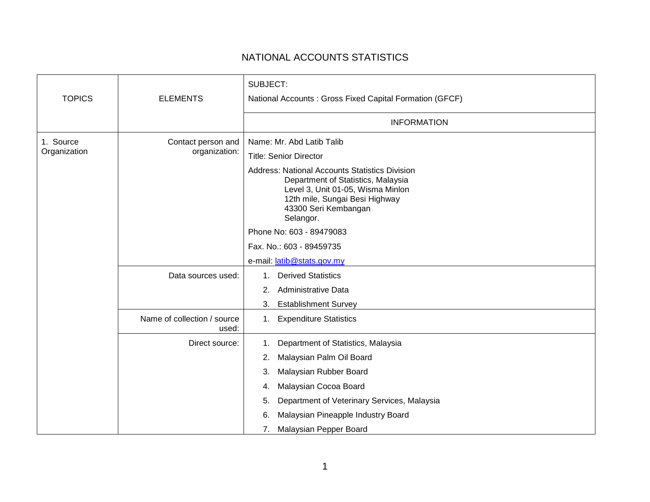## NATIONAL ACCOUNTS STATISTICS

| <b>TOPICS</b>             | <b>ELEMENTS</b>                      | SUBJECT:<br>National Accounts : Gross Fixed Capital Formation (GFCF)                                                                                                                                                                                                                                                          |
|---------------------------|--------------------------------------|-------------------------------------------------------------------------------------------------------------------------------------------------------------------------------------------------------------------------------------------------------------------------------------------------------------------------------|
|                           |                                      | <b>INFORMATION</b>                                                                                                                                                                                                                                                                                                            |
| 1. Source<br>Organization | Contact person and<br>organization:  | Name: Mr. Abd Latib Talib<br><b>Title: Senior Director</b><br><b>Address: National Accounts Statistics Division</b><br>Department of Statistics, Malaysia<br>Level 3, Unit 01-05, Wisma Minlon<br>12th mile, Sungai Besi Highway<br>43300 Seri Kembangan<br>Selangor.<br>Phone No: 603 - 89479083<br>Fax. No.: 603 - 89459735 |
|                           |                                      | e-mail: latib@stats.gov.my                                                                                                                                                                                                                                                                                                    |
|                           | Data sources used:                   | <b>Derived Statistics</b><br>$1_{\cdot}$<br><b>Administrative Data</b><br>2.<br><b>Establishment Survey</b><br>3.                                                                                                                                                                                                             |
|                           | Name of collection / source<br>used: | <b>Expenditure Statistics</b><br>1.                                                                                                                                                                                                                                                                                           |
|                           | Direct source:                       | Department of Statistics, Malaysia<br>$1_{\cdot}$<br>Malaysian Palm Oil Board<br>2.<br>Malaysian Rubber Board<br>3.<br>Malaysian Cocoa Board<br>4.<br>Department of Veterinary Services, Malaysia<br>5.<br>Malaysian Pineapple Industry Board<br>6.<br><b>Malaysian Pepper Board</b><br>7.                                    |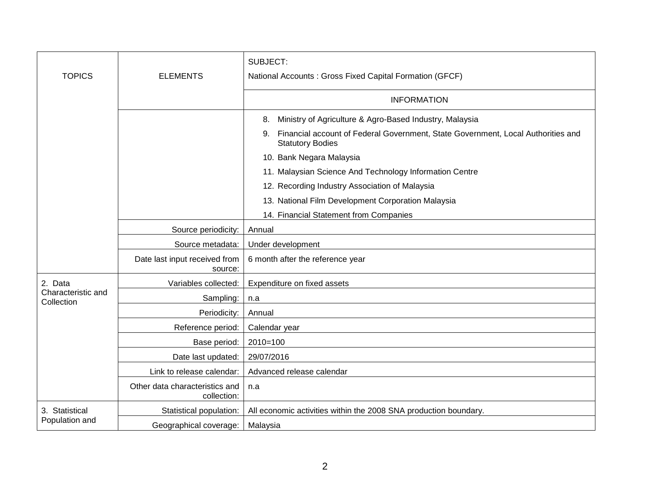|                                  |                                               | SUBJECT:                                                                                                          |
|----------------------------------|-----------------------------------------------|-------------------------------------------------------------------------------------------------------------------|
| <b>TOPICS</b>                    | <b>ELEMENTS</b>                               | National Accounts : Gross Fixed Capital Formation (GFCF)                                                          |
|                                  |                                               | <b>INFORMATION</b>                                                                                                |
|                                  |                                               | Ministry of Agriculture & Agro-Based Industry, Malaysia<br>8.                                                     |
|                                  |                                               | Financial account of Federal Government, State Government, Local Authorities and<br>9.<br><b>Statutory Bodies</b> |
|                                  |                                               | 10. Bank Negara Malaysia                                                                                          |
|                                  |                                               | 11. Malaysian Science And Technology Information Centre                                                           |
|                                  |                                               | 12. Recording Industry Association of Malaysia                                                                    |
|                                  |                                               | 13. National Film Development Corporation Malaysia                                                                |
|                                  |                                               | 14. Financial Statement from Companies                                                                            |
|                                  | Source periodicity:                           | Annual                                                                                                            |
|                                  | Source metadata:                              | Under development                                                                                                 |
|                                  | Date last input received from<br>source:      | 6 month after the reference year                                                                                  |
| 2. Data                          | Variables collected:                          | Expenditure on fixed assets                                                                                       |
| Characteristic and<br>Collection | Sampling:                                     | n.a                                                                                                               |
|                                  | Periodicity:                                  | Annual                                                                                                            |
|                                  | Reference period:                             | Calendar year                                                                                                     |
|                                  | Base period:                                  | $2010 = 100$                                                                                                      |
|                                  | Date last updated:                            | 29/07/2016                                                                                                        |
|                                  | Link to release calendar:                     | Advanced release calendar                                                                                         |
|                                  | Other data characteristics and<br>collection: | n.a                                                                                                               |
| 3. Statistical<br>Population and | Statistical population:                       | All economic activities within the 2008 SNA production boundary.                                                  |
|                                  | Geographical coverage:                        | Malaysia                                                                                                          |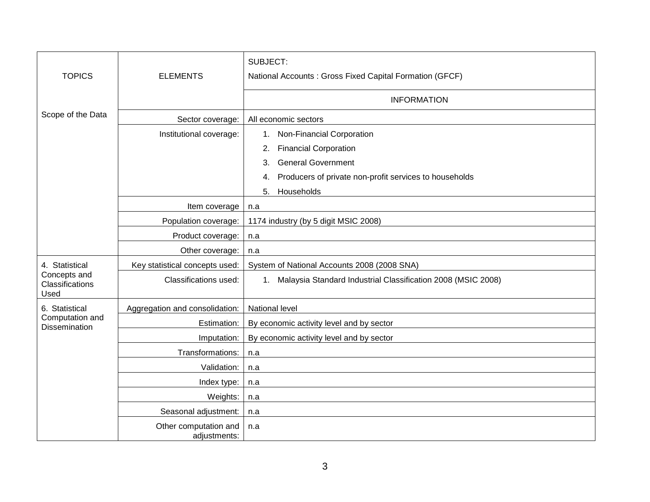|                                                           |                                       | SUBJECT:                                                           |
|-----------------------------------------------------------|---------------------------------------|--------------------------------------------------------------------|
| <b>TOPICS</b>                                             | <b>ELEMENTS</b>                       | National Accounts : Gross Fixed Capital Formation (GFCF)           |
|                                                           |                                       | <b>INFORMATION</b>                                                 |
| Scope of the Data                                         | Sector coverage:                      | All economic sectors                                               |
|                                                           | Institutional coverage:               | Non-Financial Corporation<br>1.                                    |
|                                                           |                                       | <b>Financial Corporation</b><br>2.                                 |
|                                                           |                                       | <b>General Government</b><br>3.                                    |
|                                                           |                                       | Producers of private non-profit services to households<br>4.       |
|                                                           |                                       | Households<br>5.                                                   |
|                                                           | Item coverage                         | n.a                                                                |
|                                                           | Population coverage:                  | 1174 industry (by 5 digit MSIC 2008)                               |
|                                                           | Product coverage:                     | n.a                                                                |
|                                                           | Other coverage:                       | n.a                                                                |
| 4. Statistical<br>Concepts and<br>Classifications<br>Used | Key statistical concepts used:        | System of National Accounts 2008 (2008 SNA)                        |
|                                                           | Classifications used:                 | Malaysia Standard Industrial Classification 2008 (MSIC 2008)<br>1. |
| 6. Statistical<br>Computation and<br><b>Dissemination</b> | Aggregation and consolidation:        | National level                                                     |
|                                                           | Estimation:                           | By economic activity level and by sector                           |
|                                                           | Imputation:                           | By economic activity level and by sector                           |
|                                                           | Transformations:                      | n.a                                                                |
|                                                           | Validation:                           | n.a                                                                |
|                                                           | Index type:                           | n.a                                                                |
|                                                           | Weights:                              | n.a                                                                |
|                                                           | Seasonal adjustment:                  | n.a                                                                |
|                                                           | Other computation and<br>adjustments: | n.a                                                                |